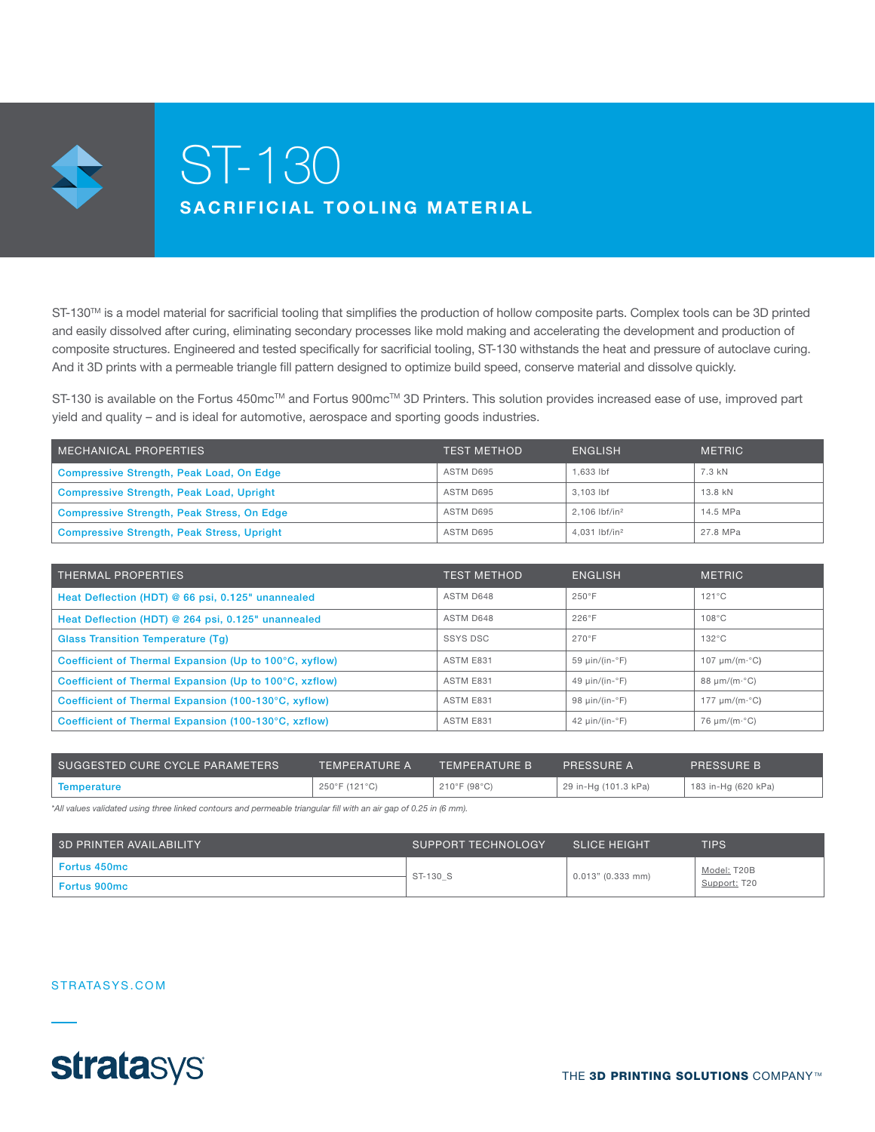

# ST-130 SACRIFICIAL TOOLING MATERIAL

ST-130™ is a model material for sacrificial tooling that simplifies the production of hollow composite parts. Complex tools can be 3D printed and easily dissolved after curing, eliminating secondary processes like mold making and accelerating the development and production of composite structures. Engineered and tested specifically for sacrificial tooling, ST-130 withstands the heat and pressure of autoclave curing. And it 3D prints with a permeable triangle fill pattern designed to optimize build speed, conserve material and dissolve quickly.

ST-130 is available on the Fortus 450mc™ and Fortus 900mc™ 3D Printers. This solution provides increased ease of use, improved part yield and quality – and is ideal for automotive, aerospace and sporting goods industries.

| MECHANICAL PROPERTIES                             | <b>TEST METHOD</b> | <b>ENGLISH</b>            | <b>METRIC</b> |
|---------------------------------------------------|--------------------|---------------------------|---------------|
| Compressive Strength, Peak Load, On Edge          | ASTM D695          | 1.633 lbf                 | 7.3 kN        |
| <b>Compressive Strength, Peak Load, Upright</b>   | ASTM D695          | 3.103 lbf                 | 13.8 kN       |
| <b>Compressive Strength, Peak Stress, On Edge</b> | ASTM D695          | 2.106 lbf/in <sup>2</sup> | 14.5 MPa      |
| <b>Compressive Strength, Peak Stress, Upright</b> | ASTM D695          | 4.031 lbf/in <sup>2</sup> | 27.8 MPa      |

| THERMAL PROPERTIES                                     | <b>TEST METHOD</b> | <b>ENGLISH</b>                | <b>METRIC</b>                |
|--------------------------------------------------------|--------------------|-------------------------------|------------------------------|
| Heat Deflection (HDT) @ 66 psi, 0.125" unannealed      | ASTM D648          | $250^\circ F$                 | $121^{\circ}$ C              |
| Heat Deflection (HDT) @ 264 psi, 0.125" unannealed     | ASTM D648          | 226°F                         | $108^{\circ}$ C              |
| <b>Glass Transition Temperature (Tg)</b>               | <b>SSYS DSC</b>    | $270^\circ F$                 | $132^{\circ}$ C              |
| Coefficient of Thermal Expansion (Up to 100°C, xyflow) | ASTM E831          | 59 $\mu$ in/(in-°F)           | 107 $\mu$ m/(m· $\degree$ C) |
| Coefficient of Thermal Expansion (Up to 100°C, xzflow) | ASTM E831          | 49 $\mu$ in/(in-°F)           | 88 $\mu$ m/(m· $^{\circ}$ C) |
| Coefficient of Thermal Expansion (100-130°C, xyflow)   | ASTM E831          | 98 $\mu$ in/(in-°F)           | 177 $\mu$ m/(m· $\degree$ C) |
| Coefficient of Thermal Expansion (100-130°C, xzflow)   | ASTM E831          | 42 $\mu$ in/(in- $\degree$ F) | 76 $\mu$ m/(m· $^{\circ}$ C) |

| SUGGESTED CURE CYCLE PARAMETERS | TEMPERATURE A ' | <b>TEMPERATURE BY</b> | PRESSURE A           | <b>PRESSURE B</b>   |
|---------------------------------|-----------------|-----------------------|----------------------|---------------------|
| Temperature                     | 250°F (121°C)   | 210°F (98°C)          | 29 in-Hg (101.3 kPa) | 183 in-Hg (620 kPa) |

*\*All values validated using three linked contours and permeable triangular fill with an air gap of 0.25 in (6 mm).*

| 3D PRINTER AVAILABILITY | SUPPORT TECHNOLOGY | <b>SLICE HEIGHT</b> | TIPS         |
|-------------------------|--------------------|---------------------|--------------|
| <b>Fortus 450mc</b>     | ST-130 S           | $0.013"$ (0.333 mm) | Model: T20B  |
| <b>Fortus 900mc</b>     |                    |                     | Support: T20 |

#### STRATASYS.COM